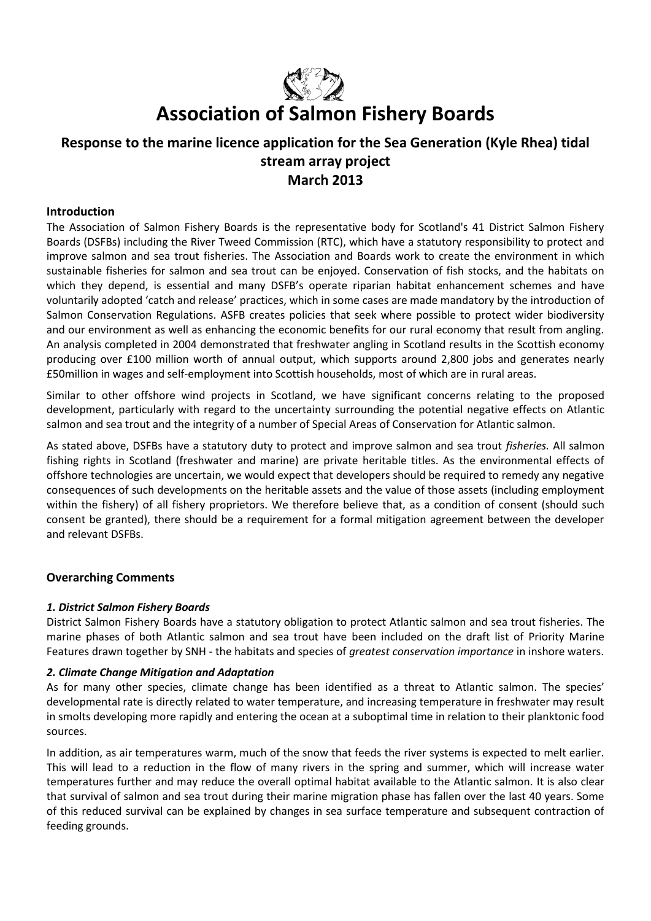

# **Association of Salmon Fishery Boards**

## **Response to the marine licence application for the Sea Generation (Kyle Rhea) tidal stream array project March 2013**

## **Introduction**

The Association of Salmon Fishery Boards is the representative body for Scotland's 41 District Salmon Fishery Boards (DSFBs) including the River Tweed Commission (RTC), which have a statutory responsibility to protect and improve salmon and sea trout fisheries. The Association and Boards work to create the environment in which sustainable fisheries for salmon and sea trout can be enjoyed. Conservation of fish stocks, and the habitats on which they depend, is essential and many DSFB's operate riparian habitat enhancement schemes and have voluntarily adopted 'catch and release' practices, which in some cases are made mandatory by the introduction of Salmon Conservation Regulations. ASFB creates policies that seek where possible to protect wider biodiversity and our environment as well as enhancing the economic benefits for our rural economy that result from angling. An analysis completed in 2004 demonstrated that freshwater angling in Scotland results in the Scottish economy producing over £100 million worth of annual output, which supports around 2,800 jobs and generates nearly £50million in wages and self-employment into Scottish households, most of which are in rural areas.

Similar to other offshore wind projects in Scotland, we have significant concerns relating to the proposed development, particularly with regard to the uncertainty surrounding the potential negative effects on Atlantic salmon and sea trout and the integrity of a number of Special Areas of Conservation for Atlantic salmon.

As stated above, DSFBs have a statutory duty to protect and improve salmon and sea trout *fisheries.* All salmon fishing rights in Scotland (freshwater and marine) are private heritable titles. As the environmental effects of offshore technologies are uncertain, we would expect that developers should be required to remedy any negative consequences of such developments on the heritable assets and the value of those assets (including employment within the fishery) of all fishery proprietors. We therefore believe that, as a condition of consent (should such consent be granted), there should be a requirement for a formal mitigation agreement between the developer and relevant DSFBs.

## **Overarching Comments**

## *1. District Salmon Fishery Boards*

District Salmon Fishery Boards have a statutory obligation to protect Atlantic salmon and sea trout fisheries. The marine phases of both Atlantic salmon and sea trout have been included on the draft list of Priority Marine Features drawn together by SNH - the habitats and species of *greatest conservation importance* in inshore waters.

## *2. Climate Change Mitigation and Adaptation*

As for many other species, climate change has been identified as a threat to Atlantic salmon. The species' developmental rate is directly related to water temperature, and increasing temperature in freshwater may result in smolts developing more rapidly and entering the ocean at a suboptimal time in relation to their planktonic food sources.

In addition, as air temperatures warm, much of the snow that feeds the river systems is expected to melt earlier. This will lead to a reduction in the flow of many rivers in the spring and summer, which will increase water temperatures further and may reduce the overall optimal habitat available to the Atlantic salmon. It is also clear that survival of salmon and sea trout during their marine migration phase has fallen over the last 40 years. Some of this reduced survival can be explained by changes in sea surface temperature and subsequent contraction of feeding grounds.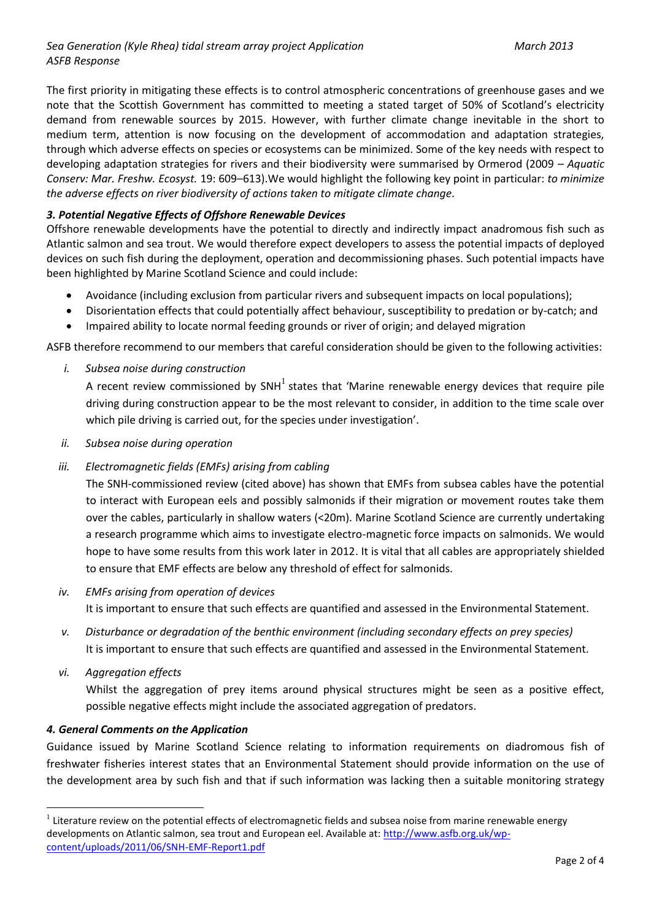## *Sea Generation (Kyle Rhea) tidal stream array project Application March 2013 ASFB Response*

The first priority in mitigating these effects is to control atmospheric concentrations of greenhouse gases and we note that the Scottish Government has committed to meeting a stated target of 50% of Scotland's electricity demand from renewable sources by 2015. However, with further climate change inevitable in the short to medium term, attention is now focusing on the development of accommodation and adaptation strategies, through which adverse effects on species or ecosystems can be minimized. Some of the key needs with respect to developing adaptation strategies for rivers and their biodiversity were summarised by Ormerod (2009 – *Aquatic Conserv: Mar. Freshw. Ecosyst.* 19: 609–613).We would highlight the following key point in particular: *to minimize the adverse effects on river biodiversity of actions taken to mitigate climate change*.

## *3. Potential Negative Effects of Offshore Renewable Devices*

Offshore renewable developments have the potential to directly and indirectly impact anadromous fish such as Atlantic salmon and sea trout. We would therefore expect developers to assess the potential impacts of deployed devices on such fish during the deployment, operation and decommissioning phases. Such potential impacts have been highlighted by Marine Scotland Science and could include:

- Avoidance (including exclusion from particular rivers and subsequent impacts on local populations);
- Disorientation effects that could potentially affect behaviour, susceptibility to predation or by-catch; and
- Impaired ability to locate normal feeding grounds or river of origin; and delayed migration

ASFB therefore recommend to our members that careful consideration should be given to the following activities:

*i. Subsea noise during construction*

A recent review commissioned by SNH<sup>1</sup> states that 'Marine renewable energy devices that require pile driving during construction appear to be the most relevant to consider, in addition to the time scale over which pile driving is carried out, for the species under investigation'.

- *ii. Subsea noise during operation*
- *iii. Electromagnetic fields (EMFs) arising from cabling*

The SNH-commissioned review (cited above) has shown that EMFs from subsea cables have the potential to interact with European eels and possibly salmonids if their migration or movement routes take them over the cables, particularly in shallow waters (<20m). Marine Scotland Science are currently undertaking a research programme which aims to investigate electro-magnetic force impacts on salmonids. We would hope to have some results from this work later in 2012. It is vital that all cables are appropriately shielded to ensure that EMF effects are below any threshold of effect for salmonids.

- *iv. EMFs arising from operation of devices* It is important to ensure that such effects are quantified and assessed in the Environmental Statement.
- *v. Disturbance or degradation of the benthic environment (including secondary effects on prey species)* It is important to ensure that such effects are quantified and assessed in the Environmental Statement.
- *vi. Aggregation effects*

 $\overline{a}$ 

Whilst the aggregation of prey items around physical structures might be seen as a positive effect, possible negative effects might include the associated aggregation of predators.

## *4. General Comments on the Application*

Guidance issued by Marine Scotland Science relating to information requirements on diadromous fish of freshwater fisheries interest states that an Environmental Statement should provide information on the use of the development area by such fish and that if such information was lacking then a suitable monitoring strategy

 $1$  Literature review on the potential effects of electromagnetic fields and subsea noise from marine renewable energy developments on Atlantic salmon, sea trout and European eel. Available at: [http://www.asfb.org.uk/wp](http://www.asfb.org.uk/wp-content/uploads/2011/06/SNH-EMF-Report1.pdf)[content/uploads/2011/06/SNH-EMF-Report1.pdf](http://www.asfb.org.uk/wp-content/uploads/2011/06/SNH-EMF-Report1.pdf)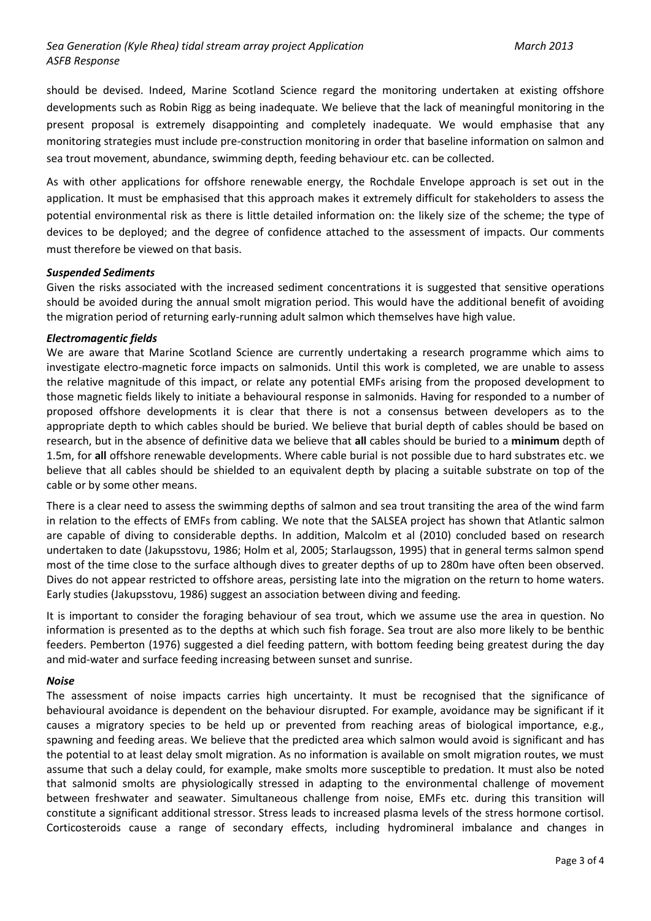should be devised. Indeed, Marine Scotland Science regard the monitoring undertaken at existing offshore developments such as Robin Rigg as being inadequate. We believe that the lack of meaningful monitoring in the present proposal is extremely disappointing and completely inadequate. We would emphasise that any monitoring strategies must include pre-construction monitoring in order that baseline information on salmon and sea trout movement, abundance, swimming depth, feeding behaviour etc. can be collected.

As with other applications for offshore renewable energy, the Rochdale Envelope approach is set out in the application. It must be emphasised that this approach makes it extremely difficult for stakeholders to assess the potential environmental risk as there is little detailed information on: the likely size of the scheme; the type of devices to be deployed; and the degree of confidence attached to the assessment of impacts. Our comments must therefore be viewed on that basis.

## *Suspended Sediments*

Given the risks associated with the increased sediment concentrations it is suggested that sensitive operations should be avoided during the annual smolt migration period. This would have the additional benefit of avoiding the migration period of returning early-running adult salmon which themselves have high value.

#### *Electromagentic fields*

We are aware that Marine Scotland Science are currently undertaking a research programme which aims to investigate electro-magnetic force impacts on salmonids. Until this work is completed, we are unable to assess the relative magnitude of this impact, or relate any potential EMFs arising from the proposed development to those magnetic fields likely to initiate a behavioural response in salmonids. Having for responded to a number of proposed offshore developments it is clear that there is not a consensus between developers as to the appropriate depth to which cables should be buried. We believe that burial depth of cables should be based on research, but in the absence of definitive data we believe that **all** cables should be buried to a **minimum** depth of 1.5m, for **all** offshore renewable developments. Where cable burial is not possible due to hard substrates etc. we believe that all cables should be shielded to an equivalent depth by placing a suitable substrate on top of the cable or by some other means.

There is a clear need to assess the swimming depths of salmon and sea trout transiting the area of the wind farm in relation to the effects of EMFs from cabling. We note that the SALSEA project has shown that Atlantic salmon are capable of diving to considerable depths. In addition, Malcolm et al (2010) concluded based on research undertaken to date (Jakupsstovu, 1986; Holm et al, 2005; Starlaugsson, 1995) that in general terms salmon spend most of the time close to the surface although dives to greater depths of up to 280m have often been observed. Dives do not appear restricted to offshore areas, persisting late into the migration on the return to home waters. Early studies (Jakupsstovu, 1986) suggest an association between diving and feeding.

It is important to consider the foraging behaviour of sea trout, which we assume use the area in question. No information is presented as to the depths at which such fish forage. Sea trout are also more likely to be benthic feeders. Pemberton (1976) suggested a diel feeding pattern, with bottom feeding being greatest during the day and mid-water and surface feeding increasing between sunset and sunrise.

#### *Noise*

The assessment of noise impacts carries high uncertainty. It must be recognised that the significance of behavioural avoidance is dependent on the behaviour disrupted. For example, avoidance may be significant if it causes a migratory species to be held up or prevented from reaching areas of biological importance, e.g., spawning and feeding areas. We believe that the predicted area which salmon would avoid is significant and has the potential to at least delay smolt migration. As no information is available on smolt migration routes, we must assume that such a delay could, for example, make smolts more susceptible to predation. It must also be noted that salmonid smolts are physiologically stressed in adapting to the environmental challenge of movement between freshwater and seawater. Simultaneous challenge from noise, EMFs etc. during this transition will constitute a significant additional stressor. Stress leads to increased plasma levels of the stress hormone cortisol. Corticosteroids cause a range of secondary effects, including hydromineral imbalance and changes in